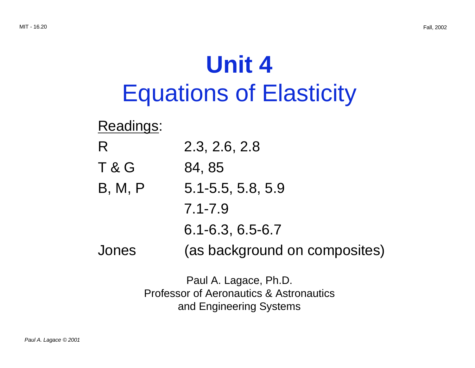# **Unit 4** Equations of Elasticity

## Readings:

- R 2.3, 2.6, 2.8
- $T & G$  84, 85
- B, M, P 5.1-5.5, 5.8, 5.9
	- 7.1-7.9
	- 6.1-6.3, 6.5-6.7
- Jones (as background on composites)

Paul A. Lagace, Ph.D. Professor of Aeronautics & Astronautics and Engineering Systems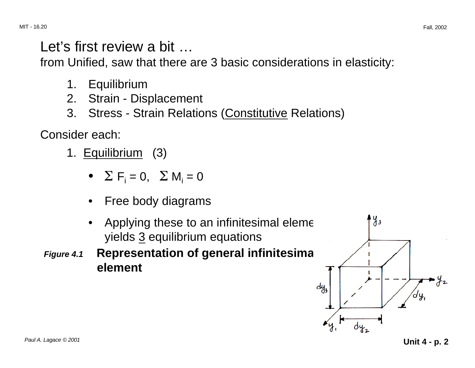Let's first review a bit ...

from Unified, saw that there are 3 basic considerations in elasticity:

- 1. Equilibrium
- 2. Strain Displacement
- 3. Stress Strain Relations (Constitutive Relations)

Consider each:

- 1. Equilibrium (3)
	- $\Sigma$  F<sub>i</sub> = 0,  $\Sigma$  M<sub>i</sub> = 0
	- Free body diagrams
	- Applying these to an infinitesimal eleme yields 3 equilibrium equations
- **Figure 4.1 Representation of general infinitesimally element**



Paul A. Lagace © 2001 **Unit 4 - p. 2**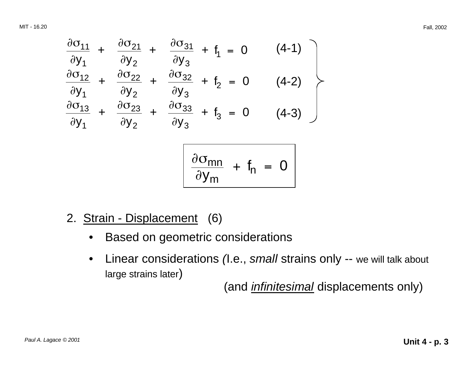MIT - 16.20 Fall, 2002

$$
\frac{\partial \sigma_{11}}{\partial y_1} + \frac{\partial \sigma_{21}}{\partial y_2} + \frac{\partial \sigma_{31}}{\partial y_3} + f_1 = 0 \qquad (4-1)
$$
\n
$$
\frac{\partial \sigma_{12}}{\partial y_1} + \frac{\partial \sigma_{22}}{\partial y_2} + \frac{\partial \sigma_{32}}{\partial y_3} + f_2 = 0 \qquad (4-2)
$$
\n
$$
\frac{\partial \sigma_{13}}{\partial y_1} + \frac{\partial \sigma_{23}}{\partial y_2} + \frac{\partial \sigma_{33}}{\partial y_3} + f_3 = 0 \qquad (4-3)
$$
\n
$$
\frac{\partial \sigma_{mn}}{\partial y_m} + f_n = 0
$$

- 2. Strain Displacement (6)
	- Based on geometric considerations
	- Linear considerations (I.e., small strains only -- we will talk about large strains later)

(and *infinitesimal* displacements only)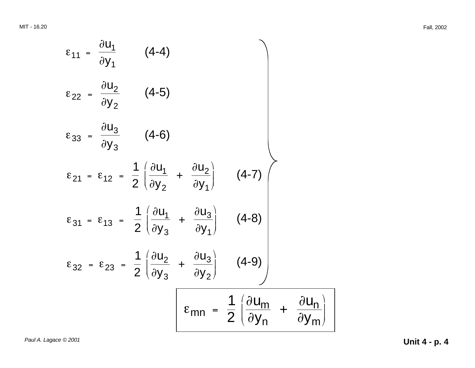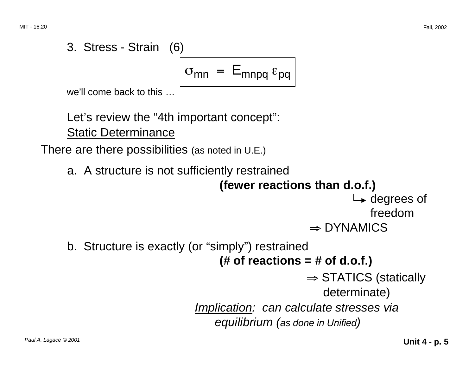3. Stress - Strain (6)  

$$
\sigma_{mn} = E_{mnpq} \epsilon_{pq}
$$
  
we'll come back to this ...

 $\overline{a}$  come to this

Let's review the "4th important concept": Static Determinance

There are there possibilities (as noted in U.E.)

```
a. 	A structure is not sufficiently restrained 
                                 (fewer reactions than d.o.f.) 
                                                              \rightarrow degrees of
                                                                  freedom 
                                                     \Rightarrow DYNAMICS
b. 	Structure is exactly (or "simply") restrained 
                                 (# of reactions = # of d.o.f.) 
                                                    \Rightarrow STATICS (statically
                                                        determinate) 
                            Implication: can calculate stresses via 
                                equilibrium (as done in Unified)
```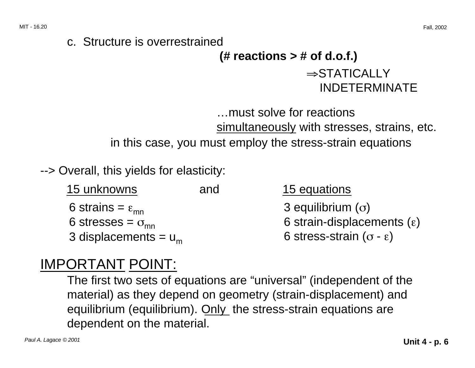#### c. Structure is overrestrained

# **(# reactions > # of d.o.f.)**  <sup>⇒</sup>STATICALLY INDETERMINATE

…must solve for reactions simultaneously with stresses, strains, etc. in this case, you must employ the stress-strain equations

--> Overall, this yields for elasticity:

| 15 unknowns                    | and | 15 equations                          |
|--------------------------------|-----|---------------------------------------|
| 6 strains = $\varepsilon_{mn}$ |     | 3 equilibrium $(\sigma)$              |
| 6 stresses = $\sigma_{mn}$     |     | 6 strain-displacements $(\epsilon)$   |
| 3 displacements = $u_m$        |     | 6 stress-strain $(\sigma - \epsilon)$ |

### IMPORTANT POINT:

The first two sets of equations are "universal" (independent of the material) as they depend on geometry (strain-displacement) and equilibrium (equilibrium). Only the stress-strain equations are dependent on the material.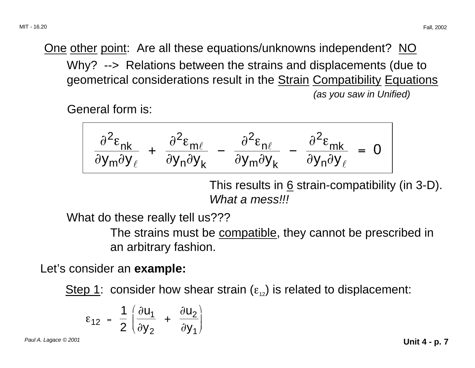One other point: Are all these equations/unknowns independent? NO Why? --> Relations between the strains and displacements (due to geometrical considerations result in the **Strain Compatibility Equations** (as you saw in Unified)

General form is:

$$
\frac{\partial^2 \varepsilon_{nk}}{\partial y_m \partial y_\ell} + \frac{\partial^2 \varepsilon_{m\ell}}{\partial y_n \partial y_k} - \frac{\partial^2 \varepsilon_{n\ell}}{\partial y_m \partial y_k} - \frac{\partial^2 \varepsilon_{mk}}{\partial y_n \partial y_\ell} = 0
$$

This results in 6 strain-compatibility (in 3-D). What a mess!!!

What do these really tell us???

The strains must be compatible, they cannot be prescribed in an arbitrary fashion.

Let's consider an **example:** 

Step 1: consider how shear strain  $(\varepsilon_{12})$  is related to displacement:

$$
\varepsilon_{12} = \frac{1}{2} \left( \frac{\partial u_1}{\partial y_2} + \frac{\partial u_2}{\partial y_1} \right)
$$

Paul A. Lagace © 2001 **Unit 4 - p. 7**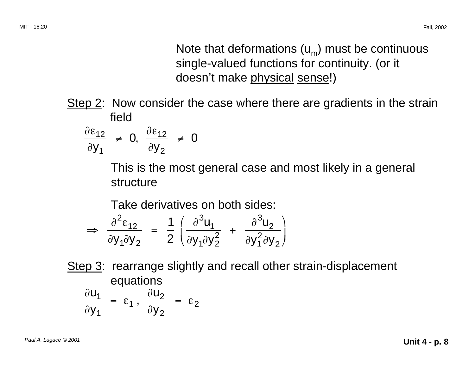Note that deformations  $(u_m)$  must be continuous single-valued functions for continuity. (or it doesn't make physical sense!)

Step 2: Now consider the case where there are gradients in the strain field

$$
\frac{\partial \varepsilon_{12}}{\partial y_1} \neq 0, \frac{\partial \varepsilon_{12}}{\partial y_2} \neq 0
$$

This is the most general case and most likely in a general structure

Take derivatives on both sides:

$$
\Rightarrow \frac{\partial^2 \varepsilon_{12}}{\partial y_1 \partial y_2} = \frac{1}{2} \left( \frac{\partial^3 u_1}{\partial y_1 \partial y_2^2} + \frac{\partial^3 u_2}{\partial y_1^2 \partial y_2} \right)
$$

Step 3: rearrange slightly and recall other strain-displacement equations  $\frac{\partial u_1}{\partial x} = \varepsilon_1$ ,  $\frac{\partial u_1}{\partial y_1} = \varepsilon_1$ ,  $\frac{\partial u_2}{\partial y_2} = \varepsilon_2$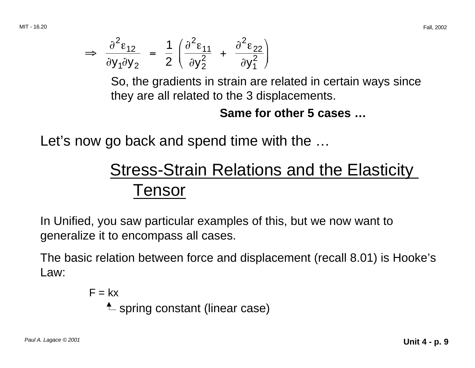$$
\Rightarrow \frac{\partial^2 \varepsilon_{12}}{\partial y_1 \partial y_2} = \frac{1}{2} \left( \frac{\partial^2 \varepsilon_{11}}{\partial y_2^2} + \frac{\partial^2 \varepsilon_{22}}{\partial y_1^2} \right)
$$

So, the gradients in strain are related in certain ways since they are all related to the 3 displacements.

#### **Same for other 5 cases …**

Let's now go back and spend time with the …

# Stress-Strain Relations and the Elasticity Tensor

In Unified, you saw particular examples of this, but we now want to generalize it to encompass all cases.

The basic relation between force and displacement (recall 8.01) is Hooke's Law:

> $F = kx$  $\spadesuit$  spring constant (linear case)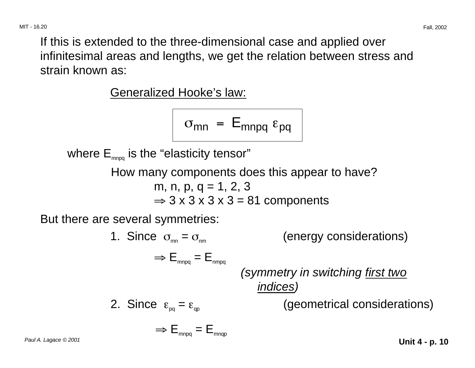If this is extended to the three-dimensional case and applied over infinitesimal areas and lengths, we get the relation between stress and strain known as:

Generalized Hooke's law:

 $\Rightarrow$   $E_{\text{mono}} = E_{\text{mono}}$ 

$$
\sigma_{mn} = E_{mnpq} \epsilon_{pq}
$$

where  $E_{\text{mpo}}$  is the "elasticity tensor"

How many components does this appear to have? m, n, p, q = 1, 2, 3  $\Rightarrow$  3 x 3 x 3 x 3 = 81 components

But there are several symmetries:

\n- 1. Since 
$$
\sigma_{\rm mn} = \sigma_{\rm mn}
$$
 (energy considerations)  $\Rightarrow E_{\rm mnpq} = E_{\rm mnpq}$  (symmetry in switching first two indices) (geometrical considerations)
\n- 2. Since  $\varepsilon_{pq} = \varepsilon_{qp}$  (geometrical considerations)
\n

Paul A. Lagace © 2001 **Unit 4 - p. 10**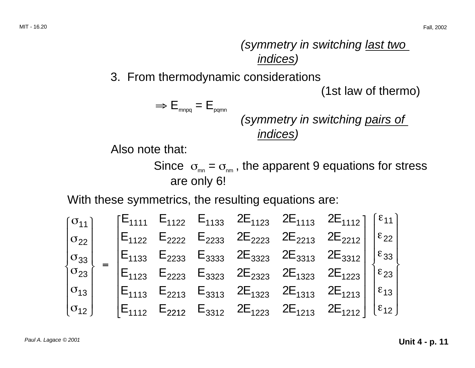(symmetry in switching last two indices)

3. From thermodynamic considerations

(1st law of thermo)

 $\Rightarrow$   $E_{_{mnpq}} = E_{_{pqmn}}$ 

(symmetry in switching pairs of indices)

Also note that:

Since  $\sigma_{\rm mn} = \sigma_{\rm mn}$ , the apparent 9 equations for stress are only 6!

With these symmetrics, the resulting equations are:

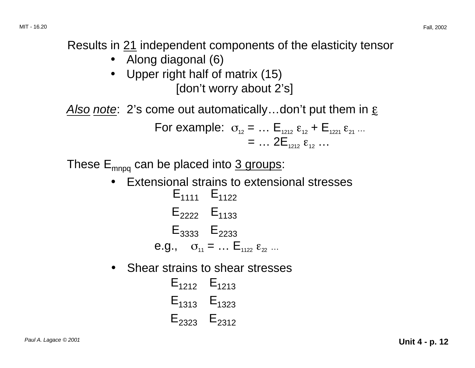Results in 21 independent components of the elasticity tensor

- Along diagonal (6)
- Upper right half of matrix (15) [don't worry about 2's]

Also note: 2's come out automatically...don't put them in  $\varepsilon$ 

For example: 
$$
\sigma_{12} = ... \mathbf{E}_{1212} \varepsilon_{12} + \mathbf{E}_{1221} \varepsilon_{21} ...
$$
  
= ...  $2\mathbf{E}_{1212} \varepsilon_{12} ...$ 

These  $E_{mnpq}$  can be placed into 3 groups:

- Extensional strains to extensional stresses  $E_{1111} E_{1122}$  $E_{2222}$   $E_{1133}$  $E_{3333}$   $E_{2233}$ e.g.,  $\sigma_{11} = ... \varepsilon_{1122} \varepsilon_{22} ...$
- $\bullet$  Shear strains to shear stresses
	- $E_{1212}$   $E_{1213}$  $E_{1313}$   $E_{1323}$  $E_{2323}$   $E_{2312}$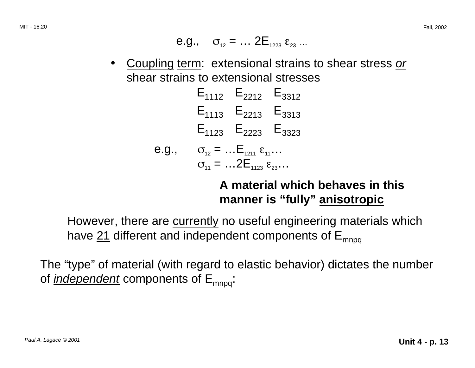e.g., 
$$
\sigma_{12} = ... 2E_{1223} \varepsilon_{23} ...
$$

 $\bullet$ Coupling term: extensional strains to shear stress or shear strains to extensional stresses

$$
E_{1112} \t E_{2212} \t E_{3312}
$$
\n
$$
E_{1113} \t E_{2213} \t E_{3313}
$$
\n
$$
E_{1123} \t E_{2223} \t E_{3323}
$$
\n
$$
e.g., \t \sigma_{12} = ... E_{1211} \epsilon_{11} ...
$$
\n
$$
\sigma_{11} = ... 2 E_{1123} \epsilon_{23} ...
$$

### **A material which behaves in this manner is "fully" anisotropic**

However, there are currently no useful engineering materials which have  $21$  different and independent components of  $E_{\text{mnog}}$ 

The "type" of material (with regard to elastic behavior) dictates the number of *independent* components of  $E_{mnpq}$ .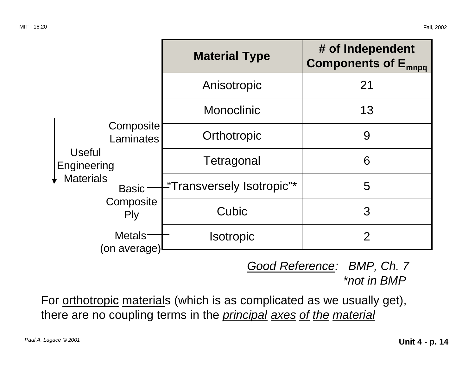|                                                                                                                                                               | <b>Material Type</b>      | # of Independent<br><b>Components of E<sub>mnpq</sub></b> |  |
|---------------------------------------------------------------------------------------------------------------------------------------------------------------|---------------------------|-----------------------------------------------------------|--|
| Composite<br><b>Laminates</b><br><b>Useful</b><br>Engineering<br><b>Materials</b><br><b>Basic</b><br>Composite<br><b>Ply</b><br><b>Metals</b><br>(on average) | Anisotropic               | 21                                                        |  |
|                                                                                                                                                               | <b>Monoclinic</b>         | 13                                                        |  |
|                                                                                                                                                               | Orthotropic               | 9                                                         |  |
|                                                                                                                                                               | Tetragonal                | 6                                                         |  |
|                                                                                                                                                               | "Transversely Isotropic"* | 5                                                         |  |
|                                                                                                                                                               | Cubic                     | 3                                                         |  |
|                                                                                                                                                               | <b>Isotropic</b>          | $\overline{2}$                                            |  |

Good Reference: BMP, Ch. 7 \*not in BMP

For orthotropic materials (which is as complicated as we usually get), there are no coupling terms in the *principal axes of the material*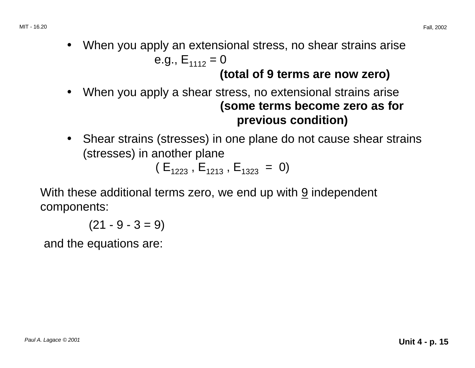$\bullet$ When you apply an extensional stress, no shear strains arise

e.g., 
$$
E_{1112} = 0
$$

### **(total of 9 terms are now zero)**

- $\bullet$  When you apply a shear stress, no extensional strains arise **(some terms become zero as for previous condition)**
- Shear strains (stresses) in one plane do not cause shear strains (stresses) in another plane

 $(E_{1223}, E_{1213}, E_{1323} = 0)$ 

With these additional terms zero, we end up with  $9$  independent components:

 $(21 - 9 - 3 = 9)$ 

and the equations are: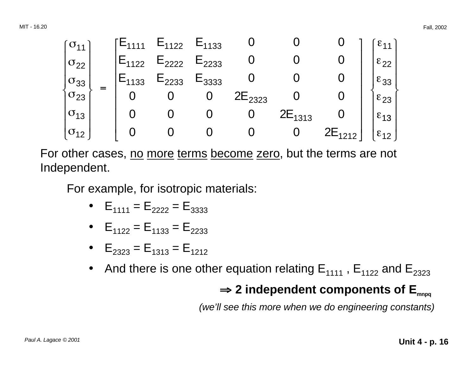

For other cases, no more terms become zero, but the terms are not Independent.

For example, for isotropic materials:

- $E_{1111} = E_{2222} = E_{3333}$
- $E_{1122} = E_{1133} = E_{2233}$
- $E_{2323} = E_{1313} = E_{1212}$
- And there is one other equation relating  $E_{1111}$ ,  $E_{1122}$  and  $E_{2323}$

### ⇒ <sup>⇒</sup> **2 independent components of Emnpq**

(we'll see this more when we do engineering constants)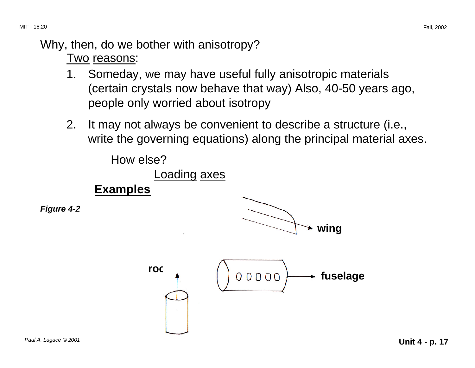#### Why, then, do we bother with anisotropy?

#### Two reasons:

- 1. Someday, we may have useful fully anisotropic materials (certain crystals now behave that way) Also, 40-50 years ago, people only worried about isotropy
- 2. It may not always be convenient to describe a structure (i.e., write the governing equations) along the principal material axes.

How else?

Loading axes

**Examples** 

**Figure 4-2** 



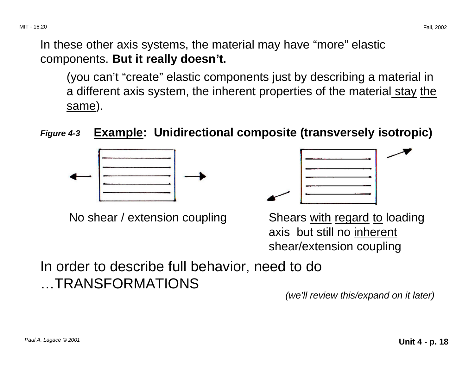In these other axis systems, the material may have "more" elastic components. **But it really doesn't.** 

(you can't "create" elastic components just by describing a material in a different axis system, the inherent properties of the material stay the same).

**Figure 4-3 Example: Unidirectional composite (transversely isotropic)** 



No shear / extension coupling Shears with regard to loading



axis but still no inherent shear/extension coupling

In order to describe full behavior, need to do …TRANSFORMATIONS

(we'll review this/expand on it later)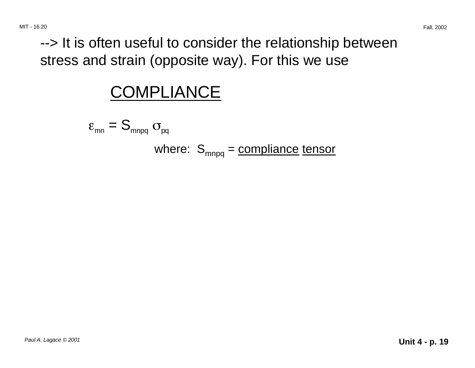--> It is often useful to consider the relationship between stress and strain (opposite way). For this we use

# **COMPLIANCE**

$$
\varepsilon_{mn} = S_{mnpq} \sigma_{pq}
$$
\nwhere:  $S_{mnpq} = \text{compliance tensor}$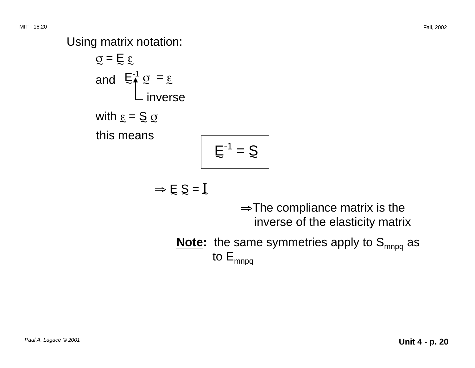Using matrix notation:

$$
Q = \sum_{\alpha=1}^{\infty} \sum_{\alpha=1}^{\infty} \frac{1}{\alpha} Q = \sum_{\alpha=1}^{\infty} Q
$$
  
with  $\sum_{\alpha=1}^{\infty} \sum_{\alpha=1}^{\infty} Q$   
this means  

$$
E^{-1} = Q
$$

$$
\Rightarrow \mathsf{E} \, \mathsf{S} = \mathsf{I}
$$

<sup>⇒</sup>The compliance matrix is the inverse of the elasticity matrix

Note: the same symmetries apply to S<sub>mnpq</sub> as to  $E_{mnpq}$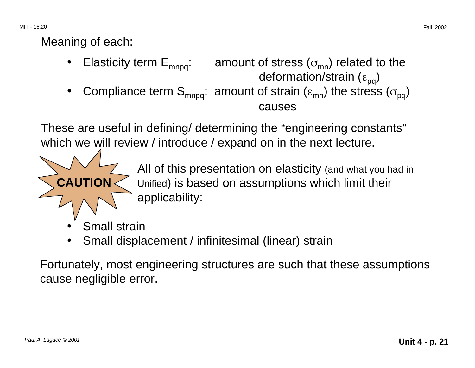MIT - 16.20 Fall, 2002

### Meaning of each:

**CAUTION** 

- •Elasticity term  $E_{\text{mono}}$ : amount of stress ( $\sigma_{\text{mn}}$ ) related to the deformation/strain  $(\epsilon_{pq})$
- •Compliance term  $S_{mnpq}$ : amount of strain ( $\epsilon_{mn}$ ) the stress ( $\sigma_{pa}$ ) causes

These are useful in defining/ determining the "engineering constants" which we will review / introduce / expand on in the next lecture.

> All of this presentation on elasticity (and what you had in Unified) is based on assumptions which limit their applicability:

- •Small strain
- •Small displacement / infinitesimal (linear) strain

Fortunately, most engineering structures are such that these assumptions cause negligible error.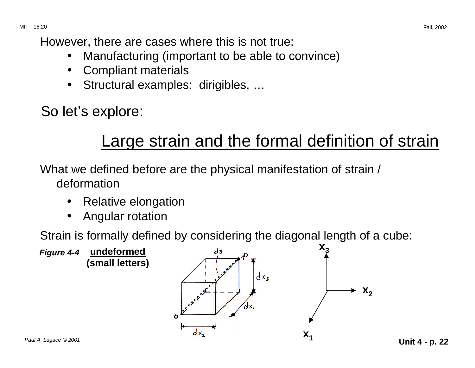However, there are cases where this is not true:

- •Manufacturing (important to be able to convince)
- •Compliant materials
- •Structural examples: dirigibles, …

So let's explore:

# Large strain and the formal definition of strain

What we defined before are the physical manifestation of strain / deformation

- •Relative elongation
- •Angular rotation

Strain is formally defined by considering the diagonal length of a cube:

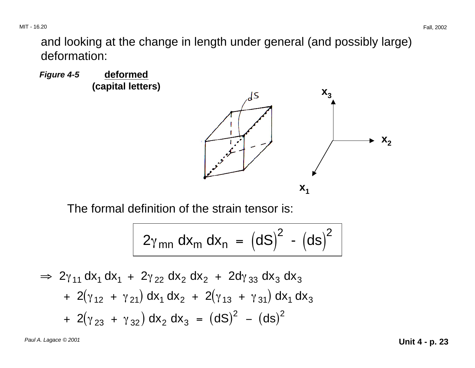MIT - 16.20 Fall, 2002

and looking at the change in length under general (and possibly large) deformation:





The formal definition of the strain tensor is:

$$
2\gamma_{mn} dx_m dx_n = (dS)^2 - (ds)^2
$$

$$
\Rightarrow 2\gamma_{11} dx_1 dx_1 + 2\gamma_{22} dx_2 dx_2 + 2d\gamma_{33} dx_3 dx_3
$$
  
+ 2(\gamma\_{12} + \gamma\_{21}) dx\_1 dx\_2 + 2(\gamma\_{13} + \gamma\_{31}) dx\_1 dx\_3  
+ 2(\gamma\_{23} + \gamma\_{32}) dx\_2 dx\_3 = (dS)<sup>2</sup> - (ds)<sup>2</sup>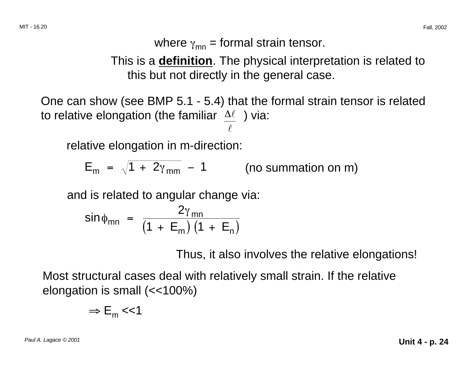where  $\gamma_{mn}$  = formal strain tensor.

This is a **definition**. The physical interpretation is related to this but not directly in the general case.

One can show (see BMP 5.1 - 5.4) that the formal strain tensor is related to relative elongation (the familiar  $\Delta \ell$ ) via:  $l$ 

relative elongation in m-direction:

$$
E_m = \sqrt{1 + 2\gamma_{mm}} - 1
$$
 (no summation on m)

and is related to angular change via:

$$
\sin \phi_{mn} = \frac{2\gamma_{mn}}{\left(1 + \mathsf{E}_{m}\right)\left(1 + \mathsf{E}_{n}\right)}
$$

Thus, it also involves the relative elongations!

Most structural cases deal with relatively small strain. If the relative elongation is small (<<100%)

$$
\Rightarrow E_{m} << 1
$$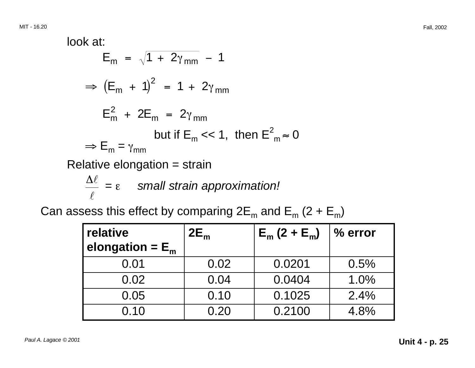look at:  
\n
$$
E_m = \sqrt{1 + 2\gamma_{mm}} - 1
$$
\n⇒  $(E_m + 1)^2 = 1 + 2\gamma_{mm}$   
\n $E_m^2 + 2E_m = 2\gamma_{mm}$   
\nbut if  $E_m$  << 1, then  $E_{m}^2$  = 0  
\n⇒  $E_m = \gamma_{mm}$   
\nRelative elongation = strain  
\n $\frac{\Delta \ell}{\ell} = \epsilon$  small strain approximation!

Can assess this effect by comparing  $2E_m$  and  $E_m$  (2 +  $E_m$ )

| relative           | $2E_m$ | $E_m(2 + E_m)$ | $%$ error |
|--------------------|--------|----------------|-----------|
| elongation = $E_m$ |        |                |           |
| 0.01               | 0.02   | 0.0201         | 0.5%      |
| 0.02               | 0.04   | 0.0404         | 1.0%      |
| 0.05               | 0.10   | 0.1025         | 2.4%      |
| 0.10               | 0.20   | 0.2100         | 4.8%      |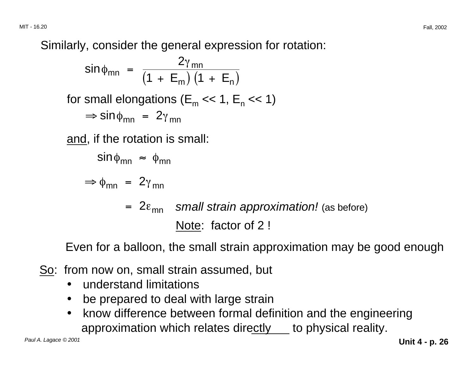MIT - 16.20 Fall, 2002

Similarly, consider the general expression for rotation:

$$
\sin\phi_{mn} = \frac{2\gamma_{mn}}{\left(1 + E_m\right)\left(1 + E_n\right)}
$$

for small elongations ( $E_m \ll 1$ ,  $E_n \ll 1$ )  $\Rightarrow$  sin  $\phi_{mn}$  = 2 $\gamma_{mn}$ 

and, if the rotation is small:

$$
\sin \phi_{mn} \approx \phi_{mn}
$$

$$
\Rightarrow \phi_{mn} = 2\gamma_{mn}
$$

 $= 2\varepsilon_{\sf mn}$  small strain approximation! (as before) Note: factor of 2 !

Even for a balloon, the small strain approximation may be good enough

So: from now on, small strain assumed, but

- understand limitations
- be prepared to deal with large strain
- know difference between formal definition and the engineering approximation which relates directly to physical reality.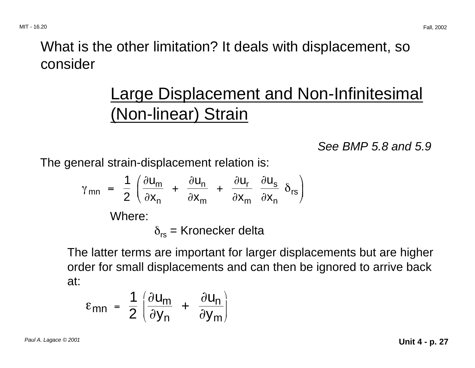# What is the other limitation? It deals with displacement, so consider

# Large Displacement and Non-Infinitesimal (Non-linear) Strain

See BMP 5.8 and 5.9

The general strain-displacement relation is:

$$
\gamma_{mn} = \frac{1}{2} \left( \frac{\partial u_m}{\partial x_n} + \frac{\partial u_n}{\partial x_m} + \frac{\partial u_r}{\partial x_m} \frac{\partial u_s}{\partial x_n} \delta_{rs} \right)
$$
  
Where:  

$$
\delta_{rs} = \text{Kronecker delta}
$$

The latter terms are important for larger displacements but are higher order for small displacements and can then be ignored to arrive back at:

$$
\varepsilon_{mn} = \frac{1}{2} \left( \frac{\partial u_m}{\partial y_n} + \frac{\partial u_n}{\partial y_m} \right)
$$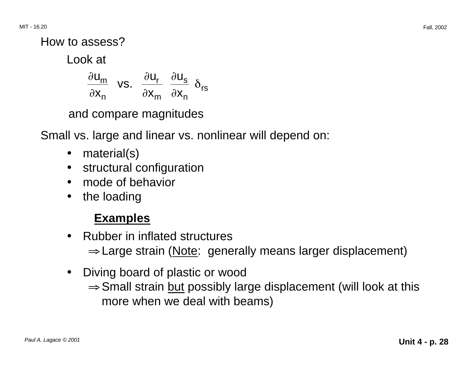How to assess?

Look at

$$
\frac{\partial u_m}{\partial x_n} \text{ vs. } \frac{\partial u_r}{\partial x_m} \frac{\partial u_s}{\partial x_n} \delta_{rs}
$$

and compare magnitudes

Small vs. large and linear vs. nonlinear will depend on:

- •material(s)
- structural configuration
- mode of behavior
- the loading

### **Examples**

- Rubber in inflated structures ⇒ Large strain (Note: generally means larger displacement)
- Diving board of plastic or wood ⇒ Small strain but possibly large displacement (will look at this more when we deal with beams)